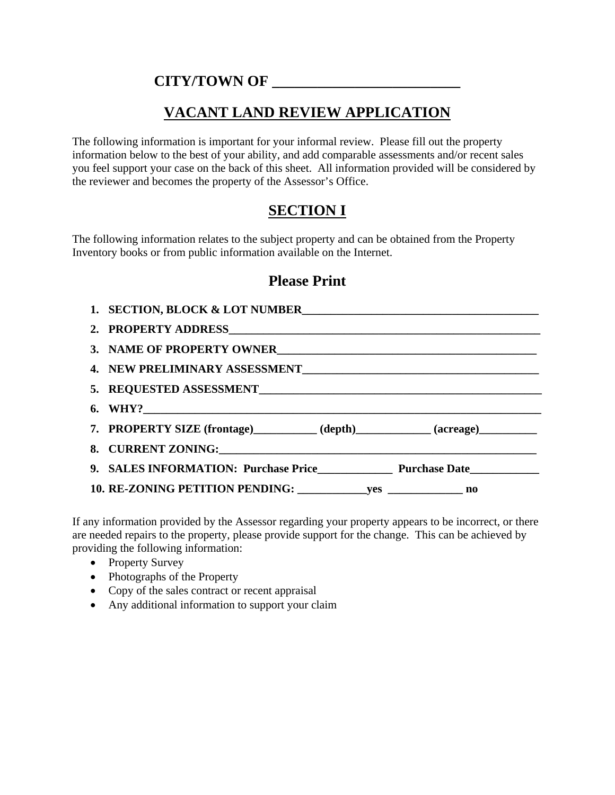## **CITY/TOWN OF \_\_\_\_\_\_\_\_\_\_\_\_\_\_\_\_\_\_\_\_\_\_\_\_\_**

# **VACANT LAND REVIEW APPLICATION**

The following information is important for your informal review. Please fill out the property information below to the best of your ability, and add comparable assessments and/or recent sales you feel support your case on the back of this sheet. All information provided will be considered by the reviewer and becomes the property of the Assessor's Office.

# **SECTION I**

The following information relates to the subject property and can be obtained from the Property Inventory books or from public information available on the Internet.

### **Please Print**

| 1. SECTION, BLOCK & LOT NUMBER                                                  |
|---------------------------------------------------------------------------------|
|                                                                                 |
|                                                                                 |
|                                                                                 |
|                                                                                 |
|                                                                                 |
| 7. PROPERTY SIZE (frontage)___________ (depth)___________ (acreage)____________ |
|                                                                                 |
|                                                                                 |
|                                                                                 |

If any information provided by the Assessor regarding your property appears to be incorrect, or there are needed repairs to the property, please provide support for the change. This can be achieved by providing the following information:

- Property Survey
- Photographs of the Property
- Copy of the sales contract or recent appraisal
- Any additional information to support your claim